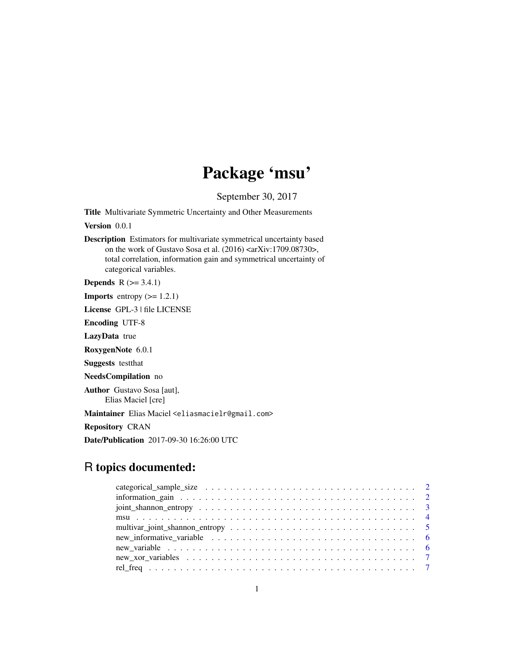# Package 'msu'

September 30, 2017

Title Multivariate Symmetric Uncertainty and Other Measurements

Version 0.0.1

Description Estimators for multivariate symmetrical uncertainty based on the work of Gustavo Sosa et al. (2016) <arXiv:1709.08730>, total correlation, information gain and symmetrical uncertainty of categorical variables.

**Depends**  $R$  ( $>= 3.4.1$ )

**Imports** entropy  $(>= 1.2.1)$ 

License GPL-3 | file LICENSE

Encoding UTF-8

LazyData true

RoxygenNote 6.0.1

Suggests testthat

NeedsCompilation no

Author Gustavo Sosa [aut], Elias Maciel [cre]

Maintainer Elias Maciel <eliasmacielr@gmail.com>

Repository CRAN

Date/Publication 2017-09-30 16:26:00 UTC

# R topics documented: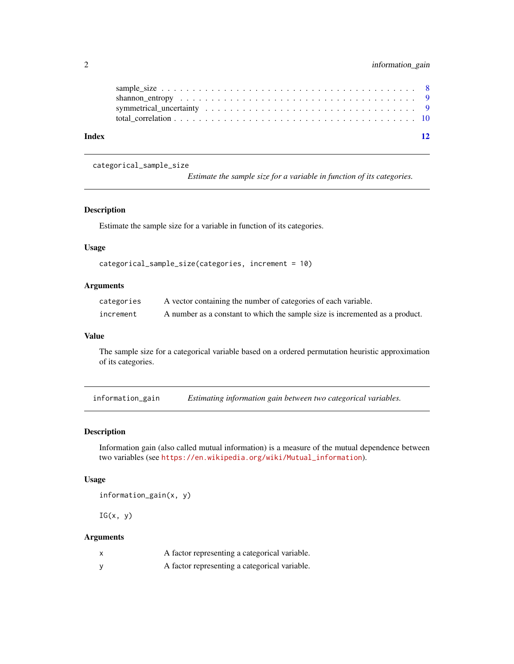<span id="page-1-0"></span>

| Index | 12 |  |
|-------|----|--|

categorical\_sample\_size

*Estimate the sample size for a variable in function of its categories.*

#### Description

Estimate the sample size for a variable in function of its categories.

#### Usage

```
categorical_sample_size(categories, increment = 10)
```
# Arguments

| categories | A vector containing the number of categories of each variable.               |
|------------|------------------------------------------------------------------------------|
| increment  | A number as a constant to which the sample size is incremented as a product. |

#### Value

The sample size for a categorical variable based on a ordered permutation heuristic approximation of its categories.

<span id="page-1-1"></span>information\_gain *Estimating information gain between two categorical variables.*

#### Description

Information gain (also called mutual information) is a measure of the mutual dependence between two variables (see [https://en.wikipedia.org/wiki/Mutual\\_information](https://en.wikipedia.org/wiki/Mutual_information)).

#### Usage

information\_gain(x, y)

 $IG(x, y)$ 

# Arguments

|          | A factor representing a categorical variable. |
|----------|-----------------------------------------------|
| <b>V</b> | A factor representing a categorical variable. |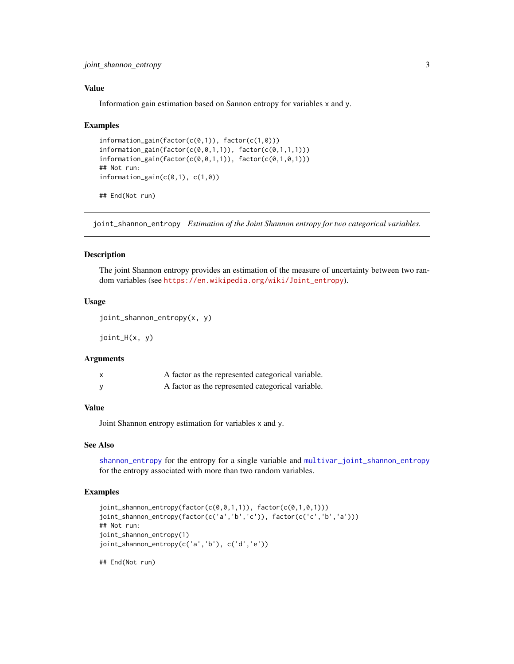<span id="page-2-0"></span>joint\_shannon\_entropy 3

#### Value

Information gain estimation based on Sannon entropy for variables x and y.

#### Examples

```
information_gain(factor(c(0,1)), factor(c(1,0)))
information_gain(factor(c(0,0,1,1)), factor(c(0,1,1,1)))
information\_gain(factor(c(\theta, \theta, 1,1)), factor(c(\theta, 1, \theta, 1)))## Not run:
information_gain(c(0,1), c(1,0))
## End(Not run)
```
<span id="page-2-1"></span>joint\_shannon\_entropy *Estimation of the Joint Shannon entropy for two categorical variables.*

#### Description

The joint Shannon entropy provides an estimation of the measure of uncertainty between two random variables (see [https://en.wikipedia.org/wiki/Joint\\_entropy](https://en.wikipedia.org/wiki/Joint_entropy)).

#### Usage

joint\_shannon\_entropy(x, y)

joint\_H(x, y)

# Arguments

| A factor as the represented categorical variable. |
|---------------------------------------------------|
| A factor as the represented categorical variable. |

#### Value

Joint Shannon entropy estimation for variables x and y.

#### See Also

[shannon\\_entropy](#page-8-1) for the entropy for a single variable and [multivar\\_joint\\_shannon\\_entropy](#page-4-1) for the entropy associated with more than two random variables.

# Examples

```
joint_shannon_entropy(factor(c(0,0,1,1)), factor(c(0,1,0,1)))
joint_shannon_entropy(factor(c('a','b','c')), factor(c('c','b','a')))
## Not run:
joint_shannon_entropy(1)
joint_shannon_entropy(c('a','b'), c('d','e'))
```
## End(Not run)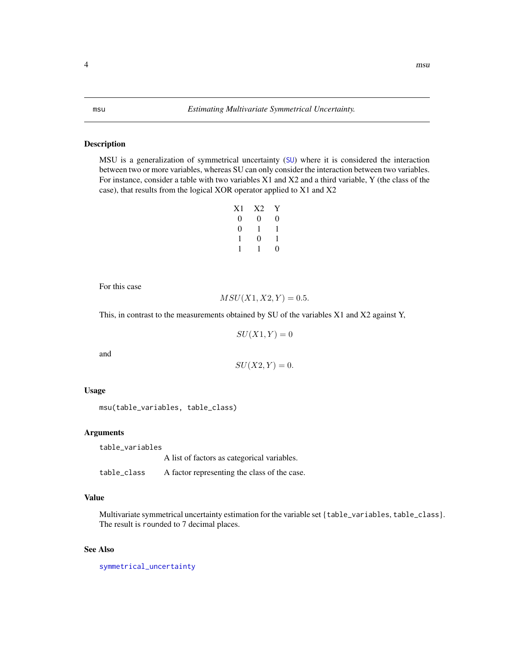#### <span id="page-3-1"></span><span id="page-3-0"></span>Description

MSU is a generalization of symmetrical uncertainty ([SU](#page-8-2)) where it is considered the interaction between two or more variables, whereas SU can only consider the interaction between two variables. For instance, consider a table with two variables X1 and X2 and a third variable, Y (the class of the case), that results from the logical XOR operator applied to X1 and X2

| X1 | X2     | Y |
|----|--------|---|
| 0  | $_{0}$ | 0 |
| 0  | 1      | 1 |
| 1  | 0      | 1 |
| 1  | 1      | 0 |

For this case

$$
MSU(X1, X2, Y) = 0.5.
$$

This, in contrast to the measurements obtained by SU of the variables X1 and X2 against Y,

 $SU(X1, Y) = 0$ 

and

$$
SU(X2,Y) = 0.
$$

#### Usage

msu(table\_variables, table\_class)

#### Arguments

table\_variables A list of factors as categorical variables.

table\_class A factor representing the class of the case.

#### Value

Multivariate symmetrical uncertainty estimation for the variable set {table\_variables, table\_class}. The result is rounded to 7 decimal places.

# See Also

[symmetrical\\_uncertainty](#page-8-2)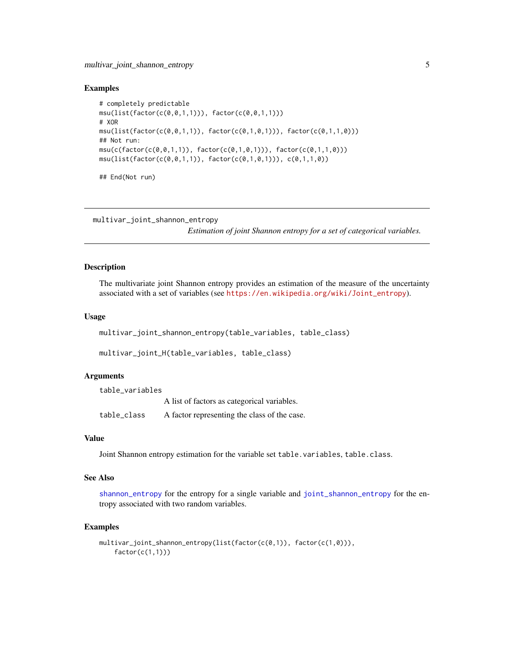#### <span id="page-4-0"></span>Examples

```
# completely predictable
msu(list(factor(c(0,0,1,1))), factor(c(0,0,1,1)))
# XOR
msu(list(factor(c(\theta, \theta, 1, 1)), factor(c(\theta, 1, \theta, 1)))), factor(c(\theta, 1, 1, \theta)))## Not run:
msu(c(factor(c(0,0,1,1)), factor(c(0,1,0,1))), factor(c(0,1,1,0)))msu(list(factor(c(0,0,1,1)), factor(c(0,1,0,1))), c(0,1,1,0))## End(Not run)
```
<span id="page-4-1"></span>multivar\_joint\_shannon\_entropy

*Estimation of joint Shannon entropy for a set of categorical variables.*

#### Description

The multivariate joint Shannon entropy provides an estimation of the measure of the uncertainty associated with a set of variables (see [https://en.wikipedia.org/wiki/Joint\\_entropy](https://en.wikipedia.org/wiki/Joint_entropy)).

#### Usage

multivar\_joint\_shannon\_entropy(table\_variables, table\_class)

```
multivar_joint_H(table_variables, table_class)
```
#### Arguments

| table variables |                                              |
|-----------------|----------------------------------------------|
|                 | A list of factors as categorical variables.  |
| table class     | A factor representing the class of the case. |

#### Value

Joint Shannon entropy estimation for the variable set table.variables, table.class.

#### See Also

[shannon\\_entropy](#page-8-1) for the entropy for a single variable and [joint\\_shannon\\_entropy](#page-2-1) for the entropy associated with two random variables.

#### Examples

```
multivar_joint_shannon_entropy(list(factor(c(0,1)), factor(c(1,0))),
    factor(c(1,1)))
```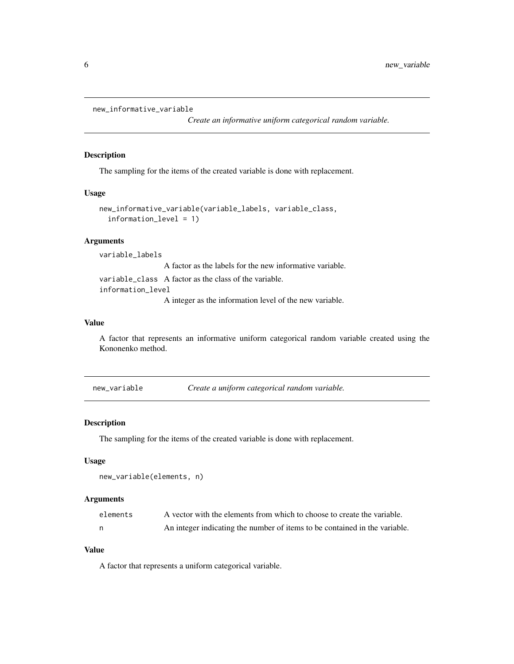```
new_informative_variable
```
*Create an informative uniform categorical random variable.*

#### Description

The sampling for the items of the created variable is done with replacement.

# Usage

```
new_informative_variable(variable_labels, variable_class,
  information_level = 1)
```
# Arguments

variable\_labels A factor as the labels for the new informative variable. variable\_class A factor as the class of the variable. information\_level A integer as the information level of the new variable.

### Value

A factor that represents an informative uniform categorical random variable created using the Kononenko method.

new\_variable *Create a uniform categorical random variable.*

#### Description

The sampling for the items of the created variable is done with replacement.

# Usage

```
new_variable(elements, n)
```
# Arguments

| elements | A vector with the elements from which to choose to create the variable.    |
|----------|----------------------------------------------------------------------------|
|          | An integer indicating the number of items to be contained in the variable. |

# Value

A factor that represents a uniform categorical variable.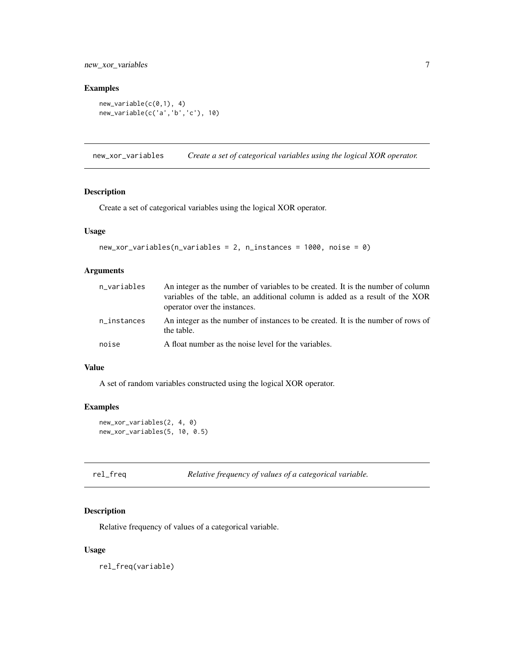# <span id="page-6-0"></span>new\_xor\_variables 7

# Examples

```
new_variable(c(0,1), 4)
new_variable(c('a','b','c'), 10)
```
new\_xor\_variables *Create a set of categorical variables using the logical XOR operator.*

#### Description

Create a set of categorical variables using the logical XOR operator.

# Usage

```
new_xor_variables(n_variables = 2, n_instances = 1000, noise = 0)
```
# Arguments

| n_variables | An integer as the number of variables to be created. It is the number of column<br>variables of the table, an additional column is added as a result of the XOR<br>operator over the instances. |
|-------------|-------------------------------------------------------------------------------------------------------------------------------------------------------------------------------------------------|
| n_instances | An integer as the number of instances to be created. It is the number of rows of<br>the table.                                                                                                  |
| noise       | A float number as the noise level for the variables.                                                                                                                                            |

#### Value

A set of random variables constructed using the logical XOR operator.

# Examples

```
new_xor_variables(2, 4, 0)
new_xor_variables(5, 10, 0.5)
```

|  |  | rel_freq | Relative freque |  |  |
|--|--|----------|-----------------|--|--|
|--|--|----------|-----------------|--|--|

# ency of values of a categorical variable.

# Description

Relative frequency of values of a categorical variable.

# Usage

rel\_freq(variable)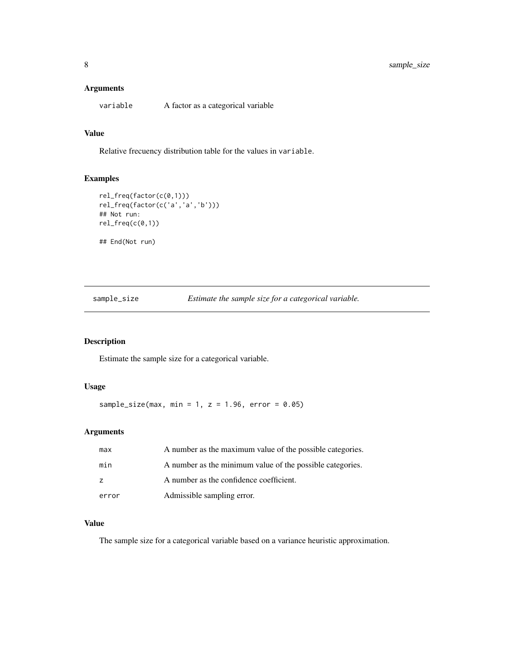#### <span id="page-7-0"></span>Arguments

variable A factor as a categorical variable

# Value

Relative frecuency distribution table for the values in variable.

# Examples

```
rel_freq(factor(c(0,1)))
rel_freq(factor(c('a','a','b')))
## Not run:
rel_freq(c(0,1))## End(Not run)
```
sample\_size *Estimate the sample size for a categorical variable.*

# Description

Estimate the sample size for a categorical variable.

# Usage

sample\_size(max, min = 1,  $z = 1.96$ , error = 0.05)

# Arguments

| max   | A number as the maximum value of the possible categories. |
|-------|-----------------------------------------------------------|
| min   | A number as the minimum value of the possible categories. |
| z     | A number as the confidence coefficient.                   |
| error | Admissible sampling error.                                |

#### Value

The sample size for a categorical variable based on a variance heuristic approximation.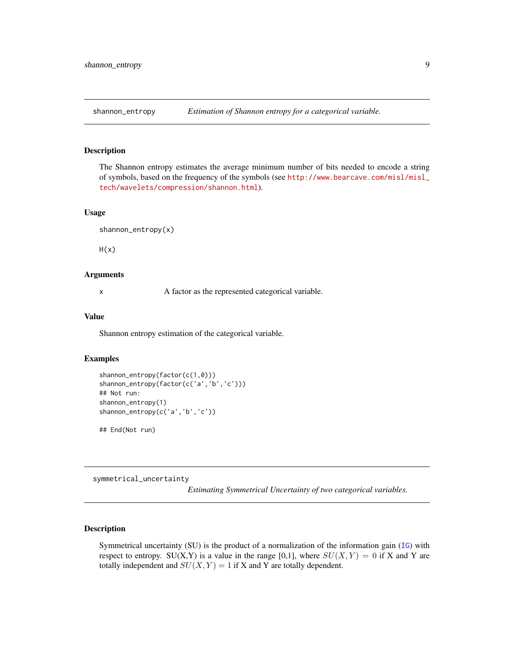<span id="page-8-1"></span><span id="page-8-0"></span>

#### Description

The Shannon entropy estimates the average minimum number of bits needed to encode a string of symbols, based on the frequency of the symbols (see [http://www.bearcave.com/misl/misl\\_](http://www.bearcave.com/misl/misl_tech/wavelets/compression/shannon.html) [tech/wavelets/compression/shannon.html](http://www.bearcave.com/misl/misl_tech/wavelets/compression/shannon.html)).

#### Usage

shannon\_entropy(x)

 $H(x)$ 

# Arguments

x A factor as the represented categorical variable.

#### Value

Shannon entropy estimation of the categorical variable.

# Examples

```
shannon_entropy(factor(c(1,0)))
shannon_entropy(factor(c('a','b','c')))
## Not run:
shannon_entropy(1)
shannon_entropy(c('a','b','c'))
```
## End(Not run)

<span id="page-8-2"></span>symmetrical\_uncertainty

*Estimating Symmetrical Uncertainty of two categorical variables.*

#### Description

Symmetrical uncertainty (SU) is the product of a normalization of the information gain ([IG](#page-1-1)) with respect to entropy. SU(X,Y) is a value in the range [0,1], where  $SU(X, Y) = 0$  if X and Y are totally independent and  $SU(X, Y) = 1$  if X and Y are totally dependent.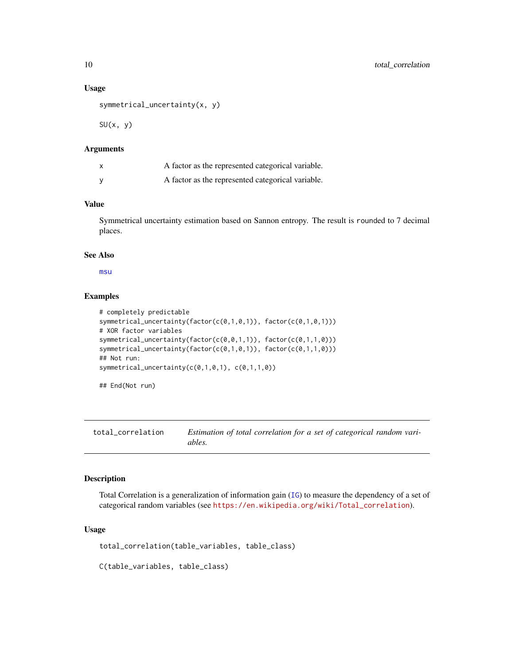#### Usage

```
symmetrical_uncertainty(x, y)
```
 $SU(x, y)$ 

# Arguments

| A factor as the represented categorical variable. |
|---------------------------------------------------|
| A factor as the represented categorical variable. |

# Value

Symmetrical uncertainty estimation based on Sannon entropy. The result is rounded to 7 decimal places.

# See Also

[msu](#page-3-1)

# Examples

```
# completely predictable
symmetrical_uncertainty(factor(c(0,1,0,1)), factor(c(0,1,0,1)))
# XOR factor variables
symmetrical_uncertainty(factor(c(0,0,1,1)), factor(c(0,1,1,0)))
symmetrical_uncertainty(factor(c(0,1,0,1)), factor(c(0,1,1,0)))
## Not run:
symmetrical_uncertainty(c(0,1,0,1), c(0,1,1,0))
```

```
## End(Not run)
```
total\_correlation *Estimation of total correlation for a set of categorical random variables.*

# Description

Total Correlation is a generalization of information gain ([IG](#page-1-1)) to measure the dependency of a set of categorical random variables (see [https://en.wikipedia.org/wiki/Total\\_correlation](https://en.wikipedia.org/wiki/Total_correlation)).

# Usage

```
total_correlation(table_variables, table_class)
```
C(table\_variables, table\_class)

<span id="page-9-0"></span>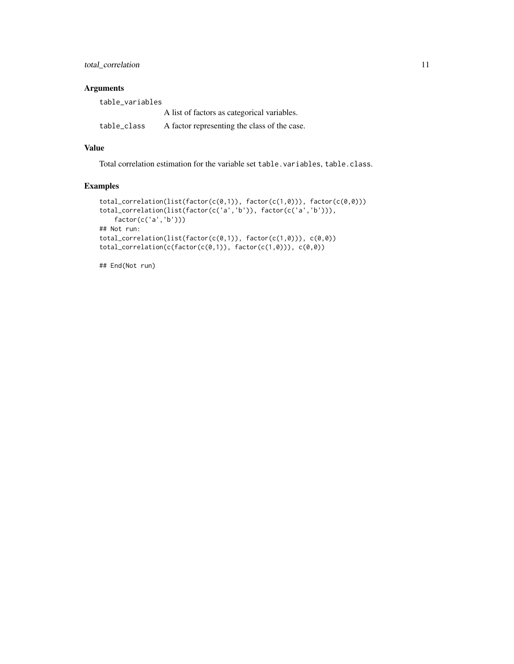total\_correlation 11

# Arguments

| table variables |                                              |
|-----------------|----------------------------------------------|
|                 | A list of factors as categorical variables.  |
| table_class     | A factor representing the class of the case. |

# Value

Total correlation estimation for the variable set table.variables, table.class.

# Examples

```
total_correlation(list(factor(c(0,1)), factor(c(1,0))), factor(c(0,0)))
total_correlation(list(factor(c('a','b')), factor(c('a','b'))),
   factor(c('a','b')))
## Not run:
total_correlation(list(factor(c(0,1)), factor(c(1,0))), c(0,0))
total_correlation(c(factor(c(0,1)), factor(c(1,0))), c(0,0))
```
## End(Not run)